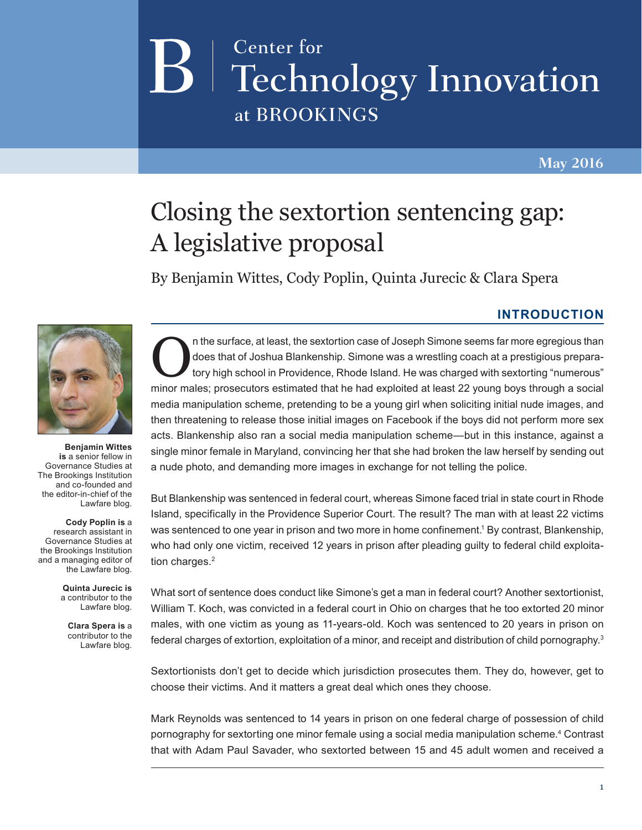# Center for B | Technology Innovation at BROOKINGS

**May 2016**

## Closing the sextortion sentencing gap: A legislative proposal

By Benjamin Wittes, Cody Poplin, Quinta Jurecic & Clara Spera

#### **INTRODUCTION**



**Benjamin Wittes is** a senior fellow in Governance Studies at The Brookings Institution and co-founded and the editor-in-chief of the Lawfare blog.

**Cody Poplin is** a research assistant in Governance Studies at the Brookings Institution and a managing editor of the Lawfare blog.

> **Quinta Jurecic is** a contributor to the Lawfare blog.

**Clara Spera is** a contributor to the Lawfare blog.

The surface, at least, the sextortion case of Joseph Simone seems far more egregious than<br>does that of Joshua Blankenship. Simone was a wrestling coach at a prestigious prepara-<br>tory high school in Providence, Rhode Island does that of Joshua Blankenship. Simone was a wrestling coach at a prestigious preparatory high school in Providence, Rhode Island. He was charged with sextorting "numerous" minor males; prosecutors estimated that he had exploited at least 22 young boys through a social media manipulation scheme, pretending to be a young girl when soliciting initial nude images, and then threatening to release those initial images on Facebook if the boys did not perform more sex acts. Blankenship also ran a social media manipulation scheme—but in this instance, against a single minor female in Maryland, convincing her that she had broken the law herself by sending out a nude photo, and demanding more images in exchange for not telling the police.

But Blankenship was sentenced in federal court, whereas Simone faced trial in state court in Rhode Island, specifically in the Providence Superior Court. The result? The man with at least 22 victims was sentenced to one year in prison and two more in home confinement.1 By contrast, Blankenship, who had only one victim, received 12 years in prison after pleading guilty to federal child exploitation charges.<sup>2</sup>

What sort of sentence does conduct like Simone's get a man in federal court? Another sextortionist, William T. Koch, was convicted in a federal court in Ohio on charges that he too extorted 20 minor males, with one victim as young as 11-years-old. Koch was sentenced to 20 years in prison on federal charges of extortion, exploitation of a minor, and receipt and distribution of child pornography.<sup>3</sup>

Sextortionists don't get to decide which jurisdiction prosecutes them. They do, however, get to choose their victims. And it matters a great deal which ones they choose.

Mark Reynolds was sentenced to 14 years in prison on one federal charge of possession of child pornography for sextorting one minor female using a social media manipulation scheme.4 Contrast that with Adam Paul Savader, who sextorted between 15 and 45 adult women and received a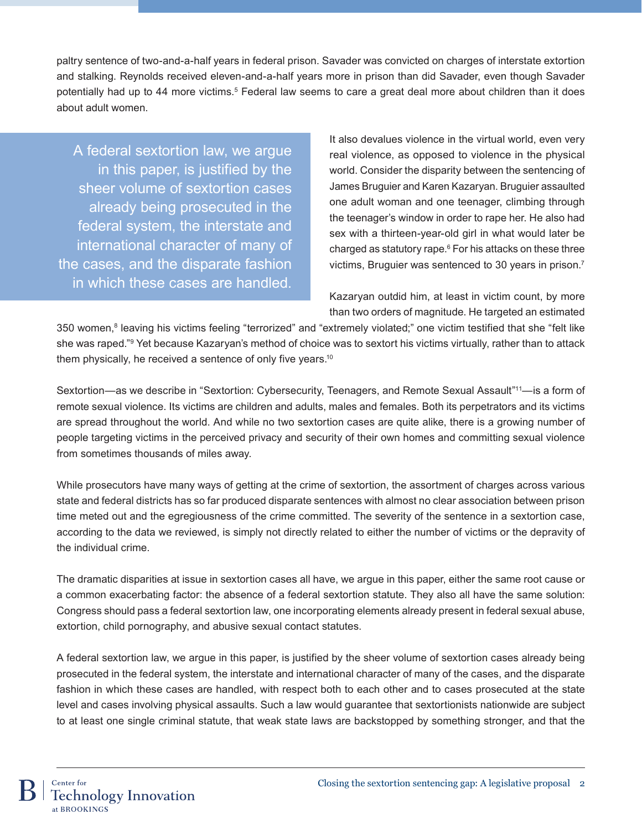paltry sentence of two-and-a-half years in federal prison. Savader was convicted on charges of interstate extortion and stalking. Reynolds received eleven-and-a-half years more in prison than did Savader, even though Savader potentially had up to 44 more victims.<sup>5</sup> Federal law seems to care a great deal more about children than it does about adult women.

A federal sextortion law, we argue in this paper, is justified by the sheer volume of sextortion cases already being prosecuted in the federal system, the interstate and international character of many of the cases, and the disparate fashion in which these cases are handled.

It also devalues violence in the virtual world, even very real violence, as opposed to violence in the physical world. Consider the disparity between the sentencing of James Bruguier and Karen Kazaryan. Bruguier assaulted one adult woman and one teenager, climbing through the teenager's window in order to rape her. He also had sex with a thirteen-year-old girl in what would later be charged as statutory rape.<sup>6</sup> For his attacks on these three victims, Bruguier was sentenced to 30 years in prison.7

Kazaryan outdid him, at least in victim count, by more than two orders of magnitude. He targeted an estimated

350 women,<sup>s</sup> leaving his victims feeling "terrorized" and "extremely violated;" one victim testified that she "felt like she was raped."9 Yet because Kazaryan's method of choice was to sextort his victims virtually, rather than to attack them physically, he received a sentence of only five years.10

Sextortion—as we describe in "Sextortion: Cybersecurity, Teenagers, and Remote Sexual Assault"11—is a form of remote sexual violence. Its victims are children and adults, males and females. Both its perpetrators and its victims are spread throughout the world. And while no two sextortion cases are quite alike, there is a growing number of people targeting victims in the perceived privacy and security of their own homes and committing sexual violence from sometimes thousands of miles away.

While prosecutors have many ways of getting at the crime of sextortion, the assortment of charges across various state and federal districts has so far produced disparate sentences with almost no clear association between prison time meted out and the egregiousness of the crime committed. The severity of the sentence in a sextortion case, according to the data we reviewed, is simply not directly related to either the number of victims or the depravity of the individual crime.

The dramatic disparities at issue in sextortion cases all have, we argue in this paper, either the same root cause or a common exacerbating factor: the absence of a federal sextortion statute. They also all have the same solution: Congress should pass a federal sextortion law, one incorporating elements already present in federal sexual abuse, extortion, child pornography, and abusive sexual contact statutes.

A federal sextortion law, we argue in this paper, is justified by the sheer volume of sextortion cases already being prosecuted in the federal system, the interstate and international character of many of the cases, and the disparate fashion in which these cases are handled, with respect both to each other and to cases prosecuted at the state level and cases involving physical assaults. Such a law would guarantee that sextortionists nationwide are subject to at least one single criminal statute, that weak state laws are backstopped by something stronger, and that the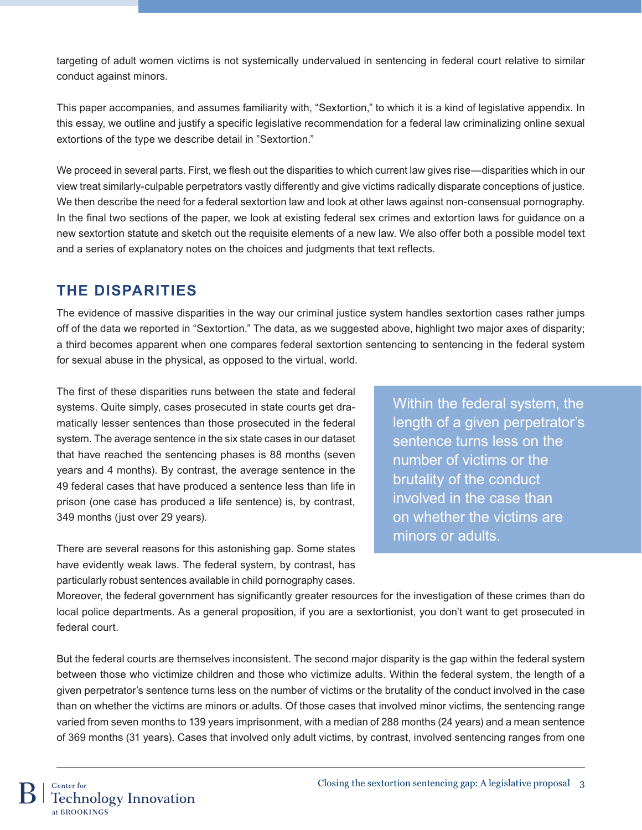targeting of adult women victims is not systemically undervalued in sentencing in federal court relative to similar conduct against minors.

This paper accompanies, and assumes familiarity with, "Sextortion," to which it is a kind of legislative appendix. In this essay, we outline and justify a specific legislative recommendation for a federal law criminalizing online sexual extortions of the type we describe detail in "Sextortion."

We proceed in several parts. First, we flesh out the disparities to which current law gives rise—disparities which in our view treat similarly-culpable perpetrators vastly differently and give victims radically disparate conceptions of justice. We then describe the need for a federal sextortion law and look at other laws against non-consensual pornography. In the final two sections of the paper, we look at existing federal sex crimes and extortion laws for guidance on a new sextortion statute and sketch out the requisite elements of a new law. We also offer both a possible model text and a series of explanatory notes on the choices and judgments that text reflects.

#### **THE DISPARITIES**

The evidence of massive disparities in the way our criminal justice system handles sextortion cases rather jumps off of the data we reported in "Sextortion." The data, as we suggested above, highlight two major axes of disparity; a third becomes apparent when one compares federal sextortion sentencing to sentencing in the federal system for sexual abuse in the physical, as opposed to the virtual, world.

The first of these disparities runs between the state and federal systems. Quite simply, cases prosecuted in state courts get dramatically lesser sentences than those prosecuted in the federal system. The average sentence in the six state cases in our dataset that have reached the sentencing phases is 88 months (seven years and 4 months). By contrast, the average sentence in the 49 federal cases that have produced a sentence less than life in prison (one case has produced a life sentence) is, by contrast, 349 months (just over 29 years).

There are several reasons for this astonishing gap. Some states have evidently weak laws. The federal system, by contrast, has particularly robust sentences available in child pornography cases.

Within the federal system, the length of a given perpetrator's sentence turns less on the number of victims or the brutality of the conduct involved in the case than on whether the victims are minors or adults.

Moreover, the federal government has significantly greater resources for the investigation of these crimes than do local police departments. As a general proposition, if you are a sextortionist, you don't want to get prosecuted in federal court.

But the federal courts are themselves inconsistent. The second major disparity is the gap within the federal system between those who victimize children and those who victimize adults. Within the federal system, the length of a given perpetrator's sentence turns less on the number of victims or the brutality of the conduct involved in the case than on whether the victims are minors or adults. Of those cases that involved minor victims, the sentencing range varied from seven months to 139 years imprisonment, with a median of 288 months (24 years) and a mean sentence of 369 months (31 years). Cases that involved only adult victims, by contrast, involved sentencing ranges from one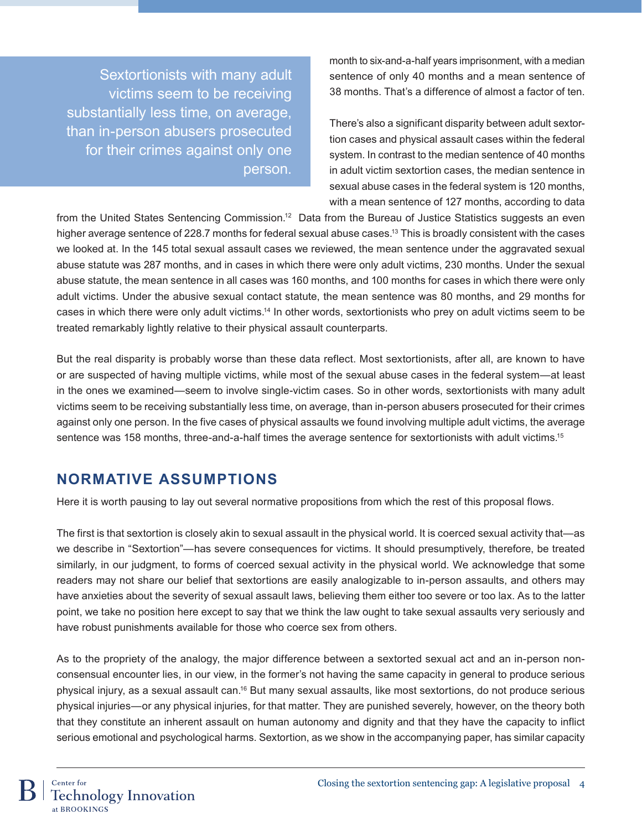Sextortionists with many adult victims seem to be receiving substantially less time, on average, than in-person abusers prosecuted for their crimes against only one person.

month to six-and-a-half years imprisonment, with a median sentence of only 40 months and a mean sentence of 38 months. That's a difference of almost a factor of ten.

There's also a significant disparity between adult sextortion cases and physical assault cases within the federal system. In contrast to the median sentence of 40 months in adult victim sextortion cases, the median sentence in sexual abuse cases in the federal system is 120 months, with a mean sentence of 127 months, according to data

from the United States Sentencing Commission.<sup>12</sup> Data from the Bureau of Justice Statistics suggests an even higher average sentence of 228.7 months for federal sexual abuse cases.<sup>13</sup> This is broadly consistent with the cases we looked at. In the 145 total sexual assault cases we reviewed, the mean sentence under the aggravated sexual abuse statute was 287 months, and in cases in which there were only adult victims, 230 months. Under the sexual abuse statute, the mean sentence in all cases was 160 months, and 100 months for cases in which there were only adult victims. Under the abusive sexual contact statute, the mean sentence was 80 months, and 29 months for cases in which there were only adult victims.14 In other words, sextortionists who prey on adult victims seem to be treated remarkably lightly relative to their physical assault counterparts.

But the real disparity is probably worse than these data reflect. Most sextortionists, after all, are known to have or are suspected of having multiple victims, while most of the sexual abuse cases in the federal system—at least in the ones we examined—seem to involve single-victim cases. So in other words, sextortionists with many adult victims seem to be receiving substantially less time, on average, than in-person abusers prosecuted for their crimes against only one person. In the five cases of physical assaults we found involving multiple adult victims, the average sentence was 158 months, three-and-a-half times the average sentence for sextortionists with adult victims.15

### **NORMATIVE ASSUMPTIONS**

Here it is worth pausing to lay out several normative propositions from which the rest of this proposal flows.

The first is that sextortion is closely akin to sexual assault in the physical world. It is coerced sexual activity that—as we describe in "Sextortion"—has severe consequences for victims. It should presumptively, therefore, be treated similarly, in our judgment, to forms of coerced sexual activity in the physical world. We acknowledge that some readers may not share our belief that sextortions are easily analogizable to in-person assaults, and others may have anxieties about the severity of sexual assault laws, believing them either too severe or too lax. As to the latter point, we take no position here except to say that we think the law ought to take sexual assaults very seriously and have robust punishments available for those who coerce sex from others.

As to the propriety of the analogy, the major difference between a sextorted sexual act and an in-person nonconsensual encounter lies, in our view, in the former's not having the same capacity in general to produce serious physical injury, as a sexual assault can.16 But many sexual assaults, like most sextortions, do not produce serious physical injuries—or any physical injuries, for that matter. They are punished severely, however, on the theory both that they constitute an inherent assault on human autonomy and dignity and that they have the capacity to inflict serious emotional and psychological harms. Sextortion, as we show in the accompanying paper, has similar capacity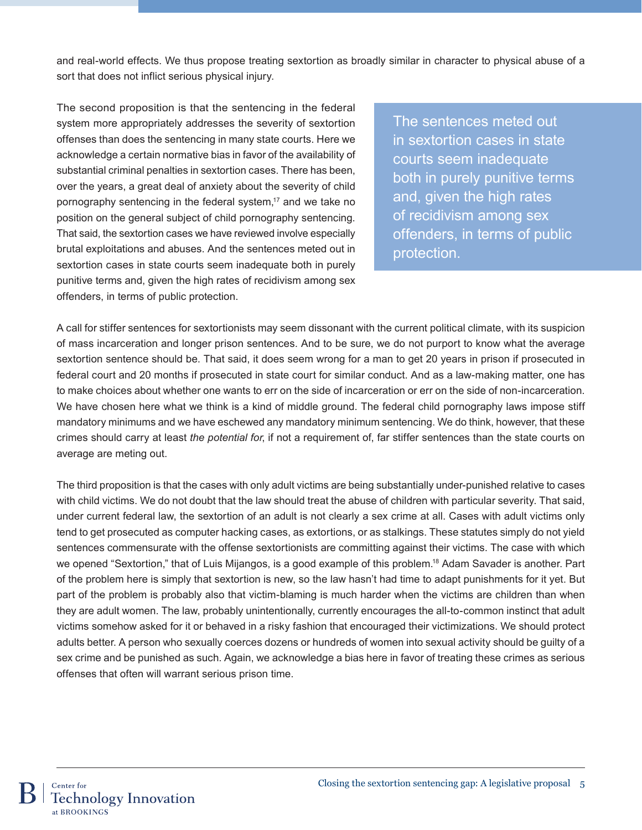and real-world effects. We thus propose treating sextortion as broadly similar in character to physical abuse of a sort that does not inflict serious physical injury.

The second proposition is that the sentencing in the federal system more appropriately addresses the severity of sextortion offenses than does the sentencing in many state courts. Here we acknowledge a certain normative bias in favor of the availability of substantial criminal penalties in sextortion cases. There has been, over the years, a great deal of anxiety about the severity of child pornography sentencing in the federal system,<sup>17</sup> and we take no position on the general subject of child pornography sentencing. That said, the sextortion cases we have reviewed involve especially brutal exploitations and abuses. And the sentences meted out in sextortion cases in state courts seem inadequate both in purely punitive terms and, given the high rates of recidivism among sex offenders, in terms of public protection.

The sentences meted out in sextortion cases in state courts seem inadequate both in purely punitive terms and, given the high rates of recidivism among sex offenders, in terms of public protection.

A call for stiffer sentences for sextortionists may seem dissonant with the current political climate, with its suspicion of mass incarceration and longer prison sentences. And to be sure, we do not purport to know what the average sextortion sentence should be. That said, it does seem wrong for a man to get 20 years in prison if prosecuted in federal court and 20 months if prosecuted in state court for similar conduct. And as a law-making matter, one has to make choices about whether one wants to err on the side of incarceration or err on the side of non-incarceration. We have chosen here what we think is a kind of middle ground. The federal child pornography laws impose stiff mandatory minimums and we have eschewed any mandatory minimum sentencing. We do think, however, that these crimes should carry at least *the potential for*, if not a requirement of, far stiffer sentences than the state courts on average are meting out.

The third proposition is that the cases with only adult victims are being substantially under-punished relative to cases with child victims. We do not doubt that the law should treat the abuse of children with particular severity. That said, under current federal law, the sextortion of an adult is not clearly a sex crime at all. Cases with adult victims only tend to get prosecuted as computer hacking cases, as extortions, or as stalkings. These statutes simply do not yield sentences commensurate with the offense sextortionists are committing against their victims. The case with which we opened "Sextortion," that of Luis Mijangos, is a good example of this problem.18 Adam Savader is another. Part of the problem here is simply that sextortion is new, so the law hasn't had time to adapt punishments for it yet. But part of the problem is probably also that victim-blaming is much harder when the victims are children than when they are adult women. The law, probably unintentionally, currently encourages the all-to-common instinct that adult victims somehow asked for it or behaved in a risky fashion that encouraged their victimizations. We should protect adults better. A person who sexually coerces dozens or hundreds of women into sexual activity should be guilty of a sex crime and be punished as such. Again, we acknowledge a bias here in favor of treating these crimes as serious offenses that often will warrant serious prison time.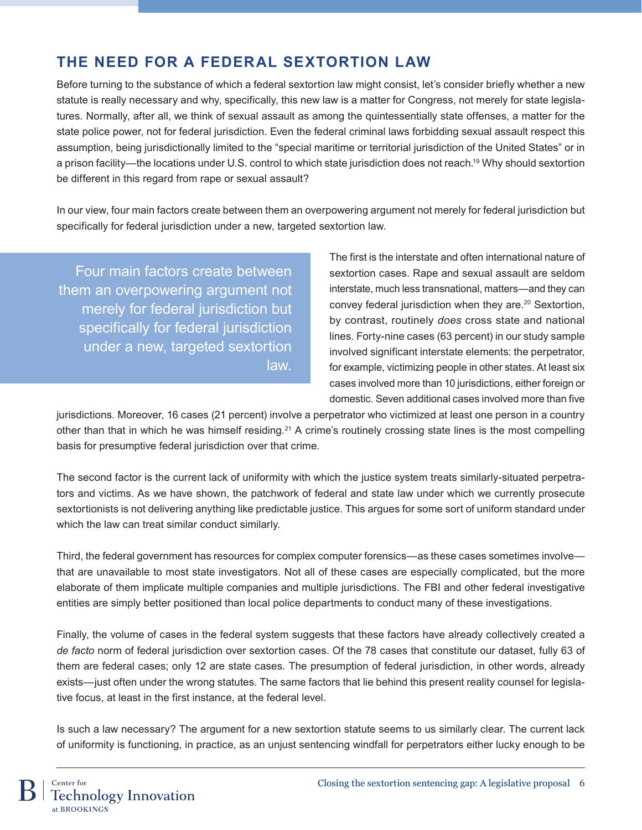## **THE NEED FOR A FEDERAL SEXTORTION LAW**

Before turning to the substance of which a federal sextortion law might consist, let's consider briefly whether a new statute is really necessary and why, specifically, this new law is a matter for Congress, not merely for state legislatures. Normally, after all, we think of sexual assault as among the quintessentially state offenses, a matter for the state police power, not for federal jurisdiction. Even the federal criminal laws forbidding sexual assault respect this assumption, being jurisdictionally limited to the "special maritime or territorial jurisdiction of the United States" or in a prison facility—the locations under U.S. control to which state jurisdiction does not reach.19 Why should sextortion be different in this regard from rape or sexual assault?

In our view, four main factors create between them an overpowering argument not merely for federal jurisdiction but specifically for federal jurisdiction under a new, targeted sextortion law.

Four main factors create between them an overpowering argument not merely for federal jurisdiction but specifically for federal jurisdiction under a new, targeted sextortion law.

The first is the interstate and often international nature of sextortion cases. Rape and sexual assault are seldom interstate, much less transnational, matters—and they can convey federal jurisdiction when they are.<sup>20</sup> Sextortion, by contrast, routinely *does* cross state and national lines. Forty-nine cases (63 percent) in our study sample involved significant interstate elements: the perpetrator, for example, victimizing people in other states. At least six cases involved more than 10 jurisdictions, either foreign or domestic. Seven additional cases involved more than five

jurisdictions. Moreover, 16 cases (21 percent) involve a perpetrator who victimized at least one person in a country other than that in which he was himself residing.<sup>21</sup> A crime's routinely crossing state lines is the most compelling basis for presumptive federal jurisdiction over that crime.

The second factor is the current lack of uniformity with which the justice system treats similarly-situated perpetrators and victims. As we have shown, the patchwork of federal and state law under which we currently prosecute sextortionists is not delivering anything like predictable justice. This argues for some sort of uniform standard under which the law can treat similar conduct similarly.

Third, the federal government has resources for complex computer forensics—as these cases sometimes involve that are unavailable to most state investigators. Not all of these cases are especially complicated, but the more elaborate of them implicate multiple companies and multiple jurisdictions. The FBI and other federal investigative entities are simply better positioned than local police departments to conduct many of these investigations.

Finally, the volume of cases in the federal system suggests that these factors have already collectively created a *de facto* norm of federal jurisdiction over sextortion cases. Of the 78 cases that constitute our dataset, fully 63 of them are federal cases; only 12 are state cases. The presumption of federal jurisdiction, in other words, already exists—just often under the wrong statutes. The same factors that lie behind this present reality counsel for legislative focus, at least in the first instance, at the federal level.

Is such a law necessary? The argument for a new sextortion statute seems to us similarly clear. The current lack of uniformity is functioning, in practice, as an unjust sentencing windfall for perpetrators either lucky enough to be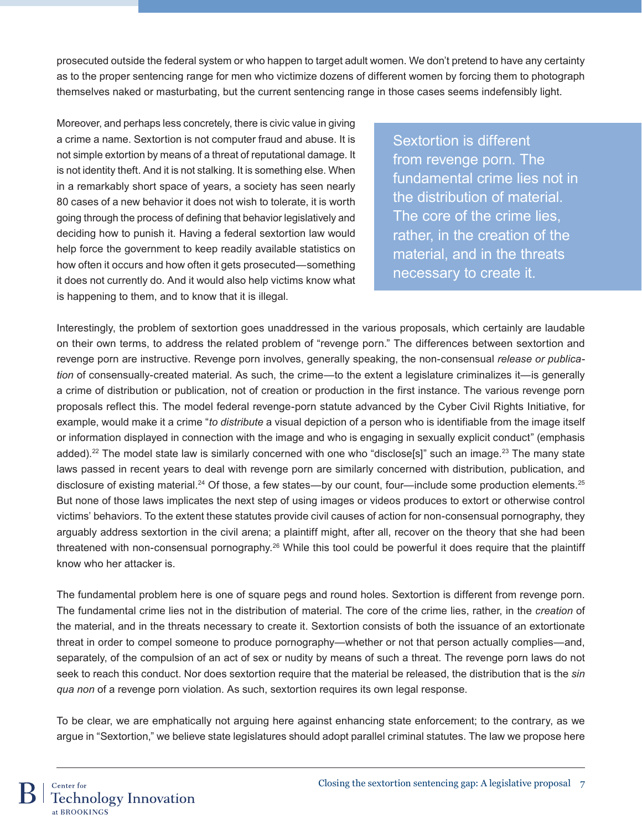prosecuted outside the federal system or who happen to target adult women. We don't pretend to have any certainty as to the proper sentencing range for men who victimize dozens of different women by forcing them to photograph themselves naked or masturbating, but the current sentencing range in those cases seems indefensibly light.

Moreover, and perhaps less concretely, there is civic value in giving a crime a name. Sextortion is not computer fraud and abuse. It is not simple extortion by means of a threat of reputational damage. It is not identity theft. And it is not stalking. It is something else. When in a remarkably short space of years, a society has seen nearly 80 cases of a new behavior it does not wish to tolerate, it is worth going through the process of defining that behavior legislatively and deciding how to punish it. Having a federal sextortion law would help force the government to keep readily available statistics on how often it occurs and how often it gets prosecuted—something it does not currently do. And it would also help victims know what is happening to them, and to know that it is illegal.

Sextortion is different from revenge porn. The fundamental crime lies not in the distribution of material. The core of the crime lies, rather, in the creation of the material, and in the threats necessary to create it.

Interestingly, the problem of sextortion goes unaddressed in the various proposals, which certainly are laudable on their own terms, to address the related problem of "revenge porn." The differences between sextortion and revenge porn are instructive. Revenge porn involves, generally speaking, the non-consensual *release or publication* of consensually-created material. As such, the crime—to the extent a legislature criminalizes it—is generally a crime of distribution or publication, not of creation or production in the first instance. The various revenge porn proposals reflect this. The model federal revenge-porn statute advanced by the Cyber Civil Rights Initiative, for example, would make it a crime "*to distribute* a visual depiction of a person who is identifiable from the image itself or information displayed in connection with the image and who is engaging in sexually explicit conduct" (emphasis added).<sup>22</sup> The model state law is similarly concerned with one who "disclose[s]" such an image.<sup>23</sup> The many state laws passed in recent years to deal with revenge porn are similarly concerned with distribution, publication, and disclosure of existing material.<sup>24</sup> Of those, a few states—by our count, four—include some production elements.<sup>25</sup> But none of those laws implicates the next step of using images or videos produces to extort or otherwise control victims' behaviors. To the extent these statutes provide civil causes of action for non-consensual pornography, they arguably address sextortion in the civil arena; a plaintiff might, after all, recover on the theory that she had been threatened with non-consensual pornography.26 While this tool could be powerful it does require that the plaintiff know who her attacker is.

The fundamental problem here is one of square pegs and round holes. Sextortion is different from revenge porn. The fundamental crime lies not in the distribution of material. The core of the crime lies, rather, in the *creation* of the material, and in the threats necessary to create it. Sextortion consists of both the issuance of an extortionate threat in order to compel someone to produce pornography—whether or not that person actually complies—and, separately, of the compulsion of an act of sex or nudity by means of such a threat. The revenge porn laws do not seek to reach this conduct. Nor does sextortion require that the material be released, the distribution that is the *sin qua non* of a revenge porn violation. As such, sextortion requires its own legal response.

To be clear, we are emphatically not arguing here against enhancing state enforcement; to the contrary, as we argue in "Sextortion," we believe state legislatures should adopt parallel criminal statutes. The law we propose here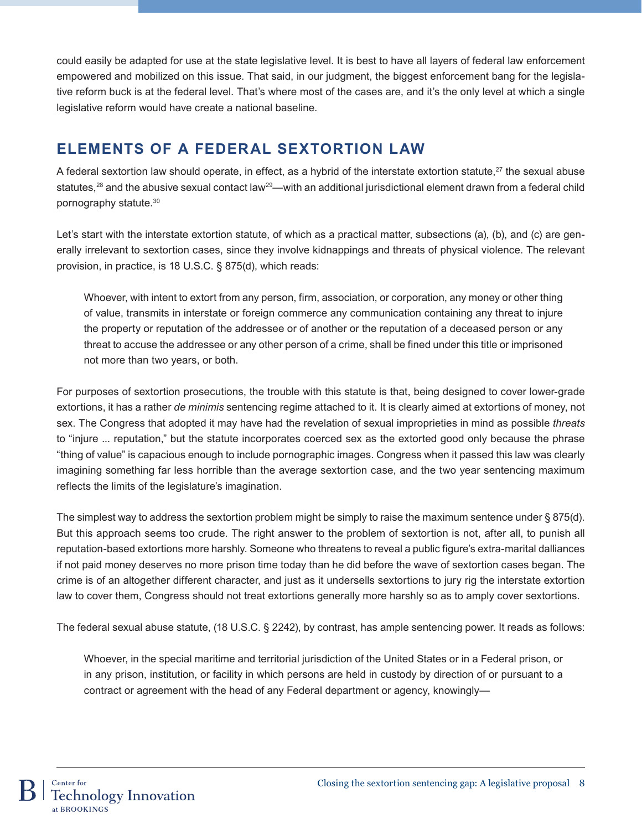could easily be adapted for use at the state legislative level. It is best to have all layers of federal law enforcement empowered and mobilized on this issue. That said, in our judgment, the biggest enforcement bang for the legislative reform buck is at the federal level. That's where most of the cases are, and it's the only level at which a single legislative reform would have create a national baseline.

### **ELEMENTS OF A FEDERAL SEXTORTION LAW**

A federal sextortion law should operate, in effect, as a hybrid of the interstate extortion statute, $27$  the sexual abuse statutes,<sup>28</sup> and the abusive sexual contact law<sup>29</sup>—with an additional jurisdictional element drawn from a federal child pornography statute.30

Let's start with the interstate extortion statute, of which as a practical matter, subsections (a), (b), and (c) are generally irrelevant to sextortion cases, since they involve kidnappings and threats of physical violence. The relevant provision, in practice, is 18 U.S.C. § 875(d), which reads:

Whoever, with intent to extort from any person, firm, association, or corporation, any money or other thing of value, transmits in interstate or foreign commerce any communication containing any threat to injure the property or reputation of the addressee or of another or the reputation of a deceased person or any threat to accuse the addressee or any other person of a crime, shall be fined under this title or imprisoned not more than two years, or both.

For purposes of sextortion prosecutions, the trouble with this statute is that, being designed to cover lower-grade extortions, it has a rather *de minimis* sentencing regime attached to it. It is clearly aimed at extortions of money, not sex. The Congress that adopted it may have had the revelation of sexual improprieties in mind as possible *threats*  to "injure ... reputation," but the statute incorporates coerced sex as the extorted good only because the phrase "thing of value" is capacious enough to include pornographic images. Congress when it passed this law was clearly imagining something far less horrible than the average sextortion case, and the two year sentencing maximum reflects the limits of the legislature's imagination.

The simplest way to address the sextortion problem might be simply to raise the maximum sentence under § 875(d). But this approach seems too crude. The right answer to the problem of sextortion is not, after all, to punish all reputation-based extortions more harshly. Someone who threatens to reveal a public figure's extra-marital dalliances if not paid money deserves no more prison time today than he did before the wave of sextortion cases began. The crime is of an altogether different character, and just as it undersells sextortions to jury rig the interstate extortion law to cover them, Congress should not treat extortions generally more harshly so as to amply cover sextortions.

The federal sexual abuse statute, (18 U.S.C. § 2242), by contrast, has ample sentencing power. It reads as follows:

Whoever, in the special maritime and territorial jurisdiction of the United States or in a Federal prison, or in any prison, institution, or facility in which persons are held in custody by direction of or pursuant to a contract or agreement with the head of any Federal department or agency, knowingly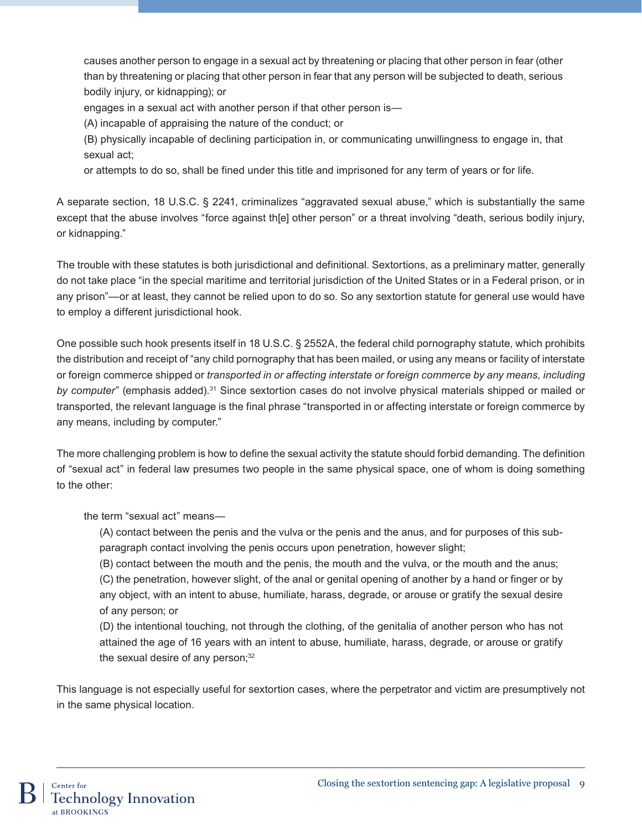causes another person to engage in a sexual act by threatening or placing that other person in fear (other than by threatening or placing that other person in fear that any person will be subjected to death, serious bodily injury, or kidnapping); or

engages in a sexual act with another person if that other person is—

(A) incapable of appraising the nature of the conduct; or

(B) physically incapable of declining participation in, or communicating unwillingness to engage in, that sexual act;

or attempts to do so, shall be fined under this title and imprisoned for any term of years or for life.

A separate section, 18 U.S.C. § 2241, criminalizes "aggravated sexual abuse," which is substantially the same except that the abuse involves "force against th[e] other person" or a threat involving "death, serious bodily injury, or kidnapping."

The trouble with these statutes is both jurisdictional and definitional. Sextortions, as a preliminary matter, generally do not take place "in the special maritime and territorial jurisdiction of the United States or in a Federal prison, or in any prison"—or at least, they cannot be relied upon to do so. So any sextortion statute for general use would have to employ a different jurisdictional hook.

One possible such hook presents itself in 18 U.S.C. § 2552A, the federal child pornography statute, which prohibits the distribution and receipt of "any child pornography that has been mailed, or using any means or facility of interstate or foreign commerce shipped or *transported in or affecting interstate or foreign commerce by any means, including*  by computer" (emphasis added).<sup>31</sup> Since sextortion cases do not involve physical materials shipped or mailed or transported, the relevant language is the final phrase "transported in or affecting interstate or foreign commerce by any means, including by computer."

The more challenging problem is how to define the sexual activity the statute should forbid demanding. The definition of "sexual act" in federal law presumes two people in the same physical space, one of whom is doing something to the other:

the term "sexual act" means—

- (A) contact between the penis and the vulva or the penis and the anus, and for purposes of this subparagraph contact involving the penis occurs upon penetration, however slight;
- (B) contact between the mouth and the penis, the mouth and the vulva, or the mouth and the anus;

(C) the penetration, however slight, of the anal or genital opening of another by a hand or finger or by any object, with an intent to abuse, humiliate, harass, degrade, or arouse or gratify the sexual desire of any person; or

(D) the intentional touching, not through the clothing, of the genitalia of another person who has not attained the age of 16 years with an intent to abuse, humiliate, harass, degrade, or arouse or gratify the sexual desire of any person;<sup>32</sup>

This language is not especially useful for sextortion cases, where the perpetrator and victim are presumptively not in the same physical location.

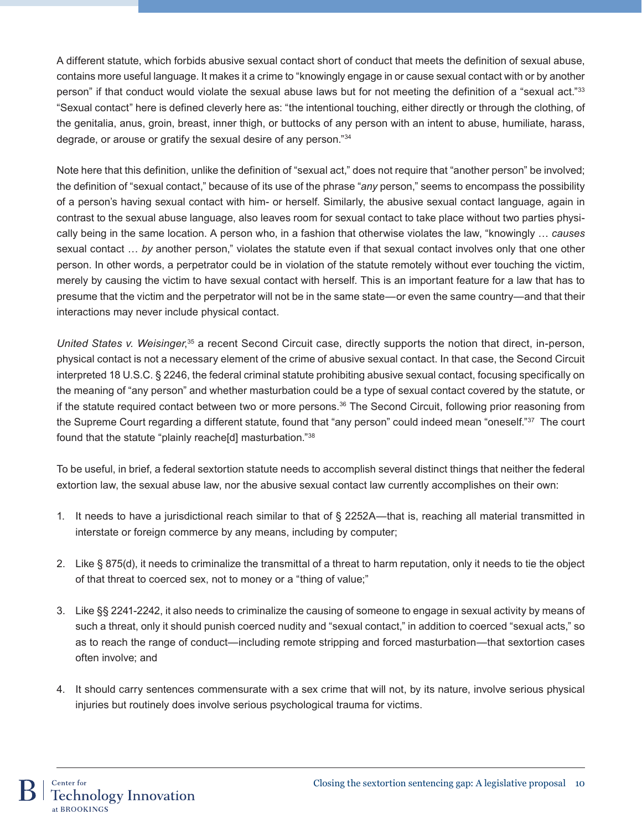A different statute, which forbids abusive sexual contact short of conduct that meets the definition of sexual abuse, contains more useful language. It makes it a crime to "knowingly engage in or cause sexual contact with or by another person" if that conduct would violate the sexual abuse laws but for not meeting the definition of a "sexual act."33 "Sexual contact" here is defined cleverly here as: "the intentional touching, either directly or through the clothing, of the genitalia, anus, groin, breast, inner thigh, or buttocks of any person with an intent to abuse, humiliate, harass, degrade, or arouse or gratify the sexual desire of any person."34

Note here that this definition, unlike the definition of "sexual act," does not require that "another person" be involved; the definition of "sexual contact," because of its use of the phrase "*any* person," seems to encompass the possibility of a person's having sexual contact with him- or herself. Similarly, the abusive sexual contact language, again in contrast to the sexual abuse language, also leaves room for sexual contact to take place without two parties physically being in the same location. A person who, in a fashion that otherwise violates the law, "knowingly … *causes*  sexual contact … *by* another person," violates the statute even if that sexual contact involves only that one other person. In other words, a perpetrator could be in violation of the statute remotely without ever touching the victim, merely by causing the victim to have sexual contact with herself. This is an important feature for a law that has to presume that the victim and the perpetrator will not be in the same state—or even the same country—and that their interactions may never include physical contact.

*United States v. Weisinger*, 35 a recent Second Circuit case, directly supports the notion that direct, in-person, physical contact is not a necessary element of the crime of abusive sexual contact. In that case, the Second Circuit interpreted 18 U.S.C. § 2246, the federal criminal statute prohibiting abusive sexual contact, focusing specifically on the meaning of "any person" and whether masturbation could be a type of sexual contact covered by the statute, or if the statute required contact between two or more persons.36 The Second Circuit, following prior reasoning from the Supreme Court regarding a different statute, found that "any person" could indeed mean "oneself."37 The court found that the statute "plainly reache[d] masturbation."38

To be useful, in brief, a federal sextortion statute needs to accomplish several distinct things that neither the federal extortion law, the sexual abuse law, nor the abusive sexual contact law currently accomplishes on their own:

- 1. It needs to have a jurisdictional reach similar to that of § 2252A—that is, reaching all material transmitted in interstate or foreign commerce by any means, including by computer;
- 2. Like § 875(d), it needs to criminalize the transmittal of a threat to harm reputation, only it needs to tie the object of that threat to coerced sex, not to money or a "thing of value;"
- 3. Like §§ 2241-2242, it also needs to criminalize the causing of someone to engage in sexual activity by means of such a threat, only it should punish coerced nudity and "sexual contact," in addition to coerced "sexual acts," so as to reach the range of conduct—including remote stripping and forced masturbation—that sextortion cases often involve; and
- 4. It should carry sentences commensurate with a sex crime that will not, by its nature, involve serious physical injuries but routinely does involve serious psychological trauma for victims.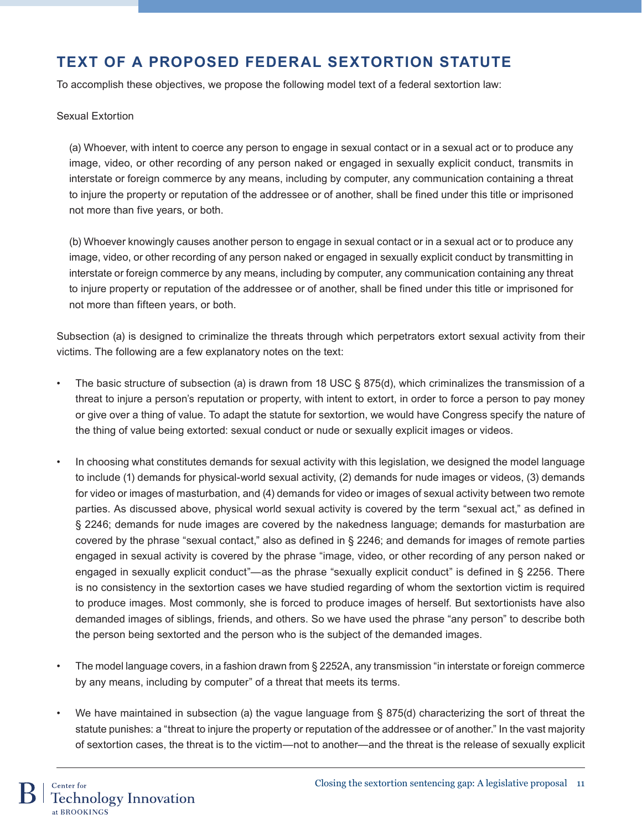### **TEXT OF A PROPOSED FEDERAL SEXTORTION STATUTE**

To accomplish these objectives, we propose the following model text of a federal sextortion law:

#### Sexual Extortion

(a) Whoever, with intent to coerce any person to engage in sexual contact or in a sexual act or to produce any image, video, or other recording of any person naked or engaged in sexually explicit conduct, transmits in interstate or foreign commerce by any means, including by computer, any communication containing a threat to injure the property or reputation of the addressee or of another, shall be fined under this title or imprisoned not more than five years, or both.

(b) Whoever knowingly causes another person to engage in sexual contact or in a sexual act or to produce any image, video, or other recording of any person naked or engaged in sexually explicit conduct by transmitting in interstate or foreign commerce by any means, including by computer, any communication containing any threat to injure property or reputation of the addressee or of another, shall be fined under this title or imprisoned for not more than fifteen years, or both.

Subsection (a) is designed to criminalize the threats through which perpetrators extort sexual activity from their victims. The following are a few explanatory notes on the text:

- The basic structure of subsection (a) is drawn from 18 USC § 875(d), which criminalizes the transmission of a threat to injure a person's reputation or property, with intent to extort, in order to force a person to pay money or give over a thing of value. To adapt the statute for sextortion, we would have Congress specify the nature of the thing of value being extorted: sexual conduct or nude or sexually explicit images or videos.
- In choosing what constitutes demands for sexual activity with this legislation, we designed the model language to include (1) demands for physical-world sexual activity, (2) demands for nude images or videos, (3) demands for video or images of masturbation, and (4) demands for video or images of sexual activity between two remote parties. As discussed above, physical world sexual activity is covered by the term "sexual act," as defined in § 2246; demands for nude images are covered by the nakedness language; demands for masturbation are covered by the phrase "sexual contact," also as defined in § 2246; and demands for images of remote parties engaged in sexual activity is covered by the phrase "image, video, or other recording of any person naked or engaged in sexually explicit conduct"—as the phrase "sexually explicit conduct" is defined in § 2256. There is no consistency in the sextortion cases we have studied regarding of whom the sextortion victim is required to produce images. Most commonly, she is forced to produce images of herself. But sextortionists have also demanded images of siblings, friends, and others. So we have used the phrase "any person" to describe both the person being sextorted and the person who is the subject of the demanded images.
- The model language covers, in a fashion drawn from § 2252A, any transmission "in interstate or foreign commerce by any means, including by computer" of a threat that meets its terms.
- We have maintained in subsection (a) the vague language from  $\S$  875(d) characterizing the sort of threat the statute punishes: a "threat to injure the property or reputation of the addressee or of another." In the vast majority of sextortion cases, the threat is to the victim—not to another—and the threat is the release of sexually explicit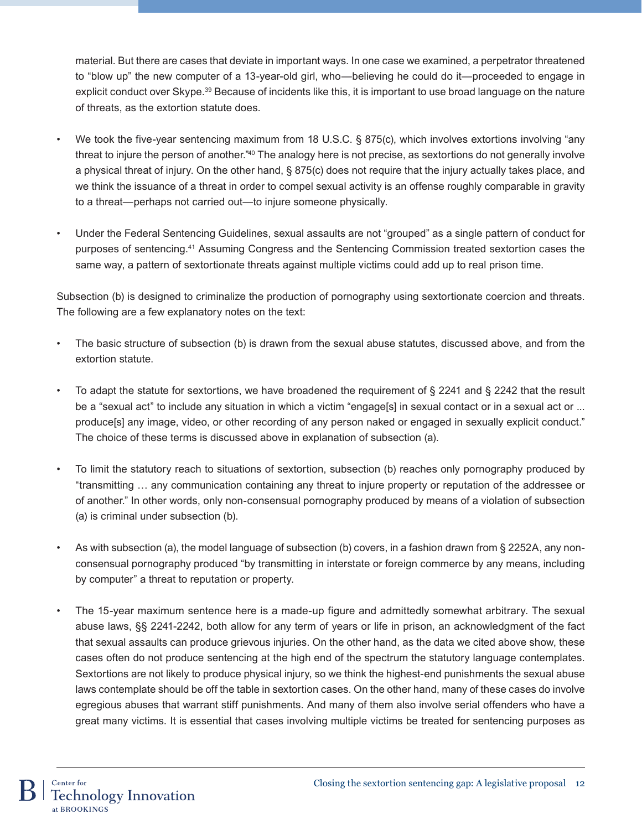material. But there are cases that deviate in important ways. In one case we examined, a perpetrator threatened to "blow up" the new computer of a 13-year-old girl, who—believing he could do it—proceeded to engage in explicit conduct over Skype.<sup>39</sup> Because of incidents like this, it is important to use broad language on the nature of threats, as the extortion statute does.

- We took the five-year sentencing maximum from 18 U.S.C. § 875(c), which involves extortions involving "any threat to injure the person of another."40 The analogy here is not precise, as sextortions do not generally involve a physical threat of injury. On the other hand, § 875(c) does not require that the injury actually takes place, and we think the issuance of a threat in order to compel sexual activity is an offense roughly comparable in gravity to a threat—perhaps not carried out—to injure someone physically.
- Under the Federal Sentencing Guidelines, sexual assaults are not "grouped" as a single pattern of conduct for purposes of sentencing.41 Assuming Congress and the Sentencing Commission treated sextortion cases the same way, a pattern of sextortionate threats against multiple victims could add up to real prison time.

Subsection (b) is designed to criminalize the production of pornography using sextortionate coercion and threats. The following are a few explanatory notes on the text:

- The basic structure of subsection (b) is drawn from the sexual abuse statutes, discussed above, and from the extortion statute.
- To adapt the statute for sextortions, we have broadened the requirement of § 2241 and § 2242 that the result be a "sexual act" to include any situation in which a victim "engage[s] in sexual contact or in a sexual act or ... produce[s] any image, video, or other recording of any person naked or engaged in sexually explicit conduct." The choice of these terms is discussed above in explanation of subsection (a).
- To limit the statutory reach to situations of sextortion, subsection (b) reaches only pornography produced by "transmitting … any communication containing any threat to injure property or reputation of the addressee or of another." In other words, only non-consensual pornography produced by means of a violation of subsection (a) is criminal under subsection (b).
- As with subsection (a), the model language of subsection (b) covers, in a fashion drawn from § 2252A, any nonconsensual pornography produced "by transmitting in interstate or foreign commerce by any means, including by computer" a threat to reputation or property.
- The 15-year maximum sentence here is a made-up figure and admittedly somewhat arbitrary. The sexual abuse laws, §§ 2241-2242, both allow for any term of years or life in prison, an acknowledgment of the fact that sexual assaults can produce grievous injuries. On the other hand, as the data we cited above show, these cases often do not produce sentencing at the high end of the spectrum the statutory language contemplates. Sextortions are not likely to produce physical injury, so we think the highest-end punishments the sexual abuse laws contemplate should be off the table in sextortion cases. On the other hand, many of these cases do involve egregious abuses that warrant stiff punishments. And many of them also involve serial offenders who have a great many victims. It is essential that cases involving multiple victims be treated for sentencing purposes as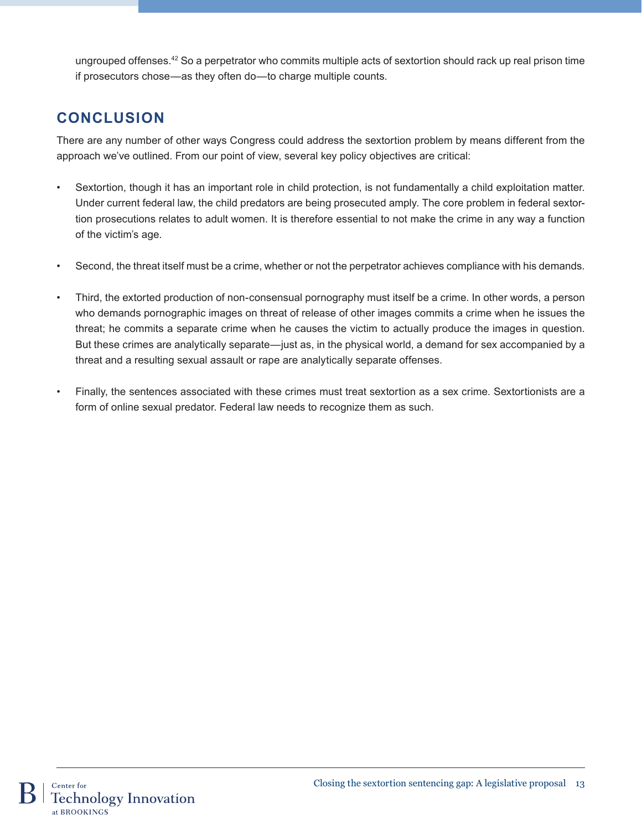ungrouped offenses.42 So a perpetrator who commits multiple acts of sextortion should rack up real prison time if prosecutors chose—as they often do—to charge multiple counts.

#### **CONCLUSION**

There are any number of other ways Congress could address the sextortion problem by means different from the approach we've outlined. From our point of view, several key policy objectives are critical:

- Sextortion, though it has an important role in child protection, is not fundamentally a child exploitation matter. Under current federal law, the child predators are being prosecuted amply. The core problem in federal sextortion prosecutions relates to adult women. It is therefore essential to not make the crime in any way a function of the victim's age.
- Second, the threat itself must be a crime, whether or not the perpetrator achieves compliance with his demands.
- Third, the extorted production of non-consensual pornography must itself be a crime. In other words, a person who demands pornographic images on threat of release of other images commits a crime when he issues the threat; he commits a separate crime when he causes the victim to actually produce the images in question. But these crimes are analytically separate—just as, in the physical world, a demand for sex accompanied by a threat and a resulting sexual assault or rape are analytically separate offenses.
- Finally, the sentences associated with these crimes must treat sextortion as a sex crime. Sextortionists are a form of online sexual predator. Federal law needs to recognize them as such.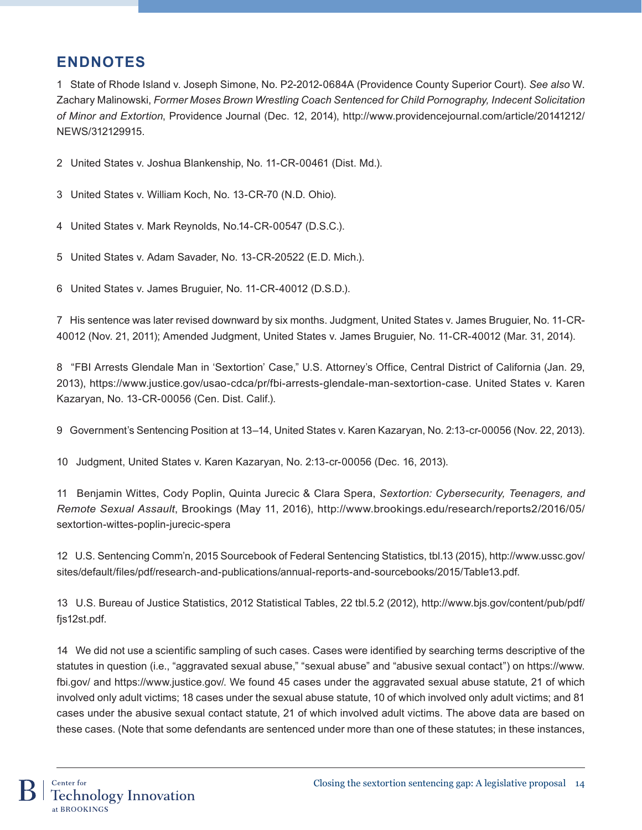#### **ENDNOTES**

1 State of Rhode Island v. Joseph Simone, No. P2-2012-0684A (Providence County Superior Court). *See also* W. Zachary Malinowski, *Former Moses Brown Wrestling Coach Sentenced for Child Pornography, Indecent Solicitation of Minor and Extortion*, Providence Journal (Dec. 12, 2014), http://www.providencejournal.com/article/20141212/ NEWS/312129915.

2 United States v. Joshua Blankenship, No. 11-CR-00461 (Dist. Md.).

3 United States v. William Koch, No. 13-CR-70 (N.D. Ohio).

4 United States v. Mark Reynolds, No.14-CR-00547 (D.S.C.).

5 United States v. Adam Savader, No. 13-CR-20522 (E.D. Mich.).

6 United States v. James Bruguier, No. 11-CR-40012 (D.S.D.).

7 His sentence was later revised downward by six months. Judgment, United States v. James Bruguier, No. 11-CR-40012 (Nov. 21, 2011); Amended Judgment, United States v. James Bruguier, No. 11-CR-40012 (Mar. 31, 2014).

8 "FBI Arrests Glendale Man in 'Sextortion' Case," U.S. Attorney's Office, Central District of California (Jan. 29, 2013), https://www.justice.gov/usao-cdca/pr/fbi-arrests-glendale-man-sextortion-case. United States v. Karen Kazaryan, No. 13-CR-00056 (Cen. Dist. Calif.).

9 Government's Sentencing Position at 13–14, United States v. Karen Kazaryan, No. 2:13-cr-00056 (Nov. 22, 2013).

10 Judgment, United States v. Karen Kazaryan, No. 2:13-cr-00056 (Dec. 16, 2013).

11 Benjamin Wittes, Cody Poplin, Quinta Jurecic & Clara Spera, *Sextortion: Cybersecurity, Teenagers, and Remote Sexual Assault*, Brookings (May 11, 2016), http://www.brookings.edu/research/reports2/2016/05/ sextortion-wittes-poplin-jurecic-spera

12 U.S. Sentencing Comm'n, 2015 Sourcebook of Federal Sentencing Statistics, tbl.13 (2015), http://www.ussc.gov/ sites/default/files/pdf/research-and-publications/annual-reports-and-sourcebooks/2015/Table13.pdf.

13 U.S. Bureau of Justice Statistics, 2012 Statistical Tables, 22 tbl.5.2 (2012), http://www.bjs.gov/content/pub/pdf/ fjs12st.pdf.

14 We did not use a scientific sampling of such cases. Cases were identified by searching terms descriptive of the statutes in question (i.e., "aggravated sexual abuse," "sexual abuse" and "abusive sexual contact") on https://www. fbi.gov/ and https://www.justice.gov/. We found 45 cases under the aggravated sexual abuse statute, 21 of which involved only adult victims; 18 cases under the sexual abuse statute, 10 of which involved only adult victims; and 81 cases under the abusive sexual contact statute, 21 of which involved adult victims. The above data are based on these cases. (Note that some defendants are sentenced under more than one of these statutes; in these instances,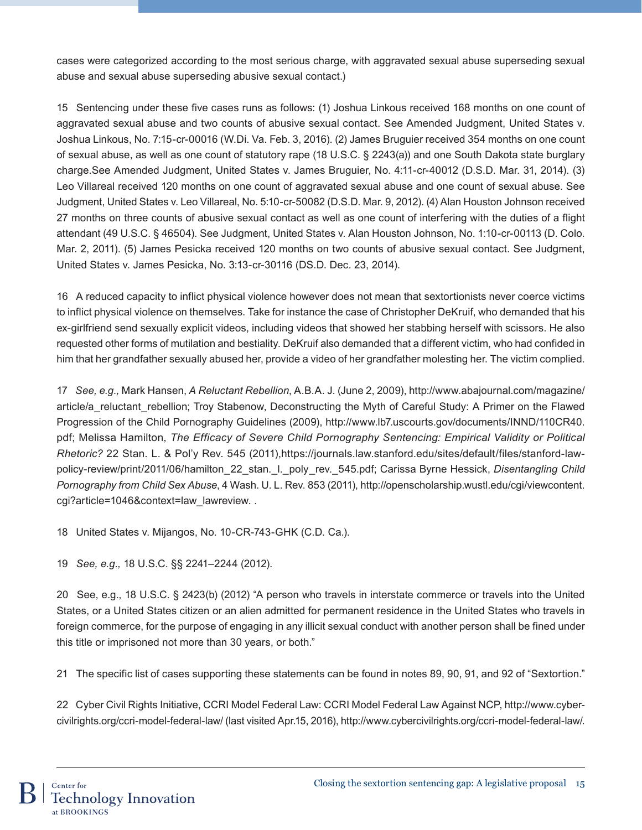cases were categorized according to the most serious charge, with aggravated sexual abuse superseding sexual abuse and sexual abuse superseding abusive sexual contact.)

15 Sentencing under these five cases runs as follows: (1) Joshua Linkous received 168 months on one count of aggravated sexual abuse and two counts of abusive sexual contact. See Amended Judgment, United States v. Joshua Linkous, No. 7:15-cr-00016 (W.Di. Va. Feb. 3, 2016). (2) James Bruguier received 354 months on one count of sexual abuse, as well as one count of statutory rape (18 U.S.C. § 2243(a)) and one South Dakota state burglary charge.See Amended Judgment, United States v. James Bruguier, No. 4:11-cr-40012 (D.S.D. Mar. 31, 2014). (3) Leo Villareal received 120 months on one count of aggravated sexual abuse and one count of sexual abuse. See Judgment, United States v. Leo Villareal, No. 5:10-cr-50082 (D.S.D. Mar. 9, 2012). (4) Alan Houston Johnson received 27 months on three counts of abusive sexual contact as well as one count of interfering with the duties of a flight attendant (49 U.S.C. § 46504). See Judgment, United States v. Alan Houston Johnson, No. 1:10-cr-00113 (D. Colo. Mar. 2, 2011). (5) James Pesicka received 120 months on two counts of abusive sexual contact. See Judgment, United States v. James Pesicka, No. 3:13-cr-30116 (DS.D. Dec. 23, 2014).

16 A reduced capacity to inflict physical violence however does not mean that sextortionists never coerce victims to inflict physical violence on themselves. Take for instance the case of Christopher DeKruif, who demanded that his ex-girlfriend send sexually explicit videos, including videos that showed her stabbing herself with scissors. He also requested other forms of mutilation and bestiality. DeKruif also demanded that a different victim, who had confided in him that her grandfather sexually abused her, provide a video of her grandfather molesting her. The victim complied.

17 *See, e.g.,* Mark Hansen, *A Reluctant Rebellion*, A.B.A. J. (June 2, 2009), http://www.abajournal.com/magazine/ article/a\_reluctant\_rebellion; Troy Stabenow, Deconstructing the Myth of Careful Study: A Primer on the Flawed Progression of the Child Pornography Guidelines (2009), http://www.lb7.uscourts.gov/documents/INND/110CR40. pdf; Melissa Hamilton, *The Efficacy of Severe Child Pornography Sentencing: Empirical Validity or Political Rhetoric?* 22 Stan. L. & Pol'y Rev. 545 (2011),https://journals.law.stanford.edu/sites/default/files/stanford-lawpolicy-review/print/2011/06/hamilton\_22\_stan.\_l.\_poly\_rev.\_545.pdf; Carissa Byrne Hessick, *Disentangling Child Pornography from Child Sex Abuse*, 4 Wash. U. L. Rev. 853 (2011), http://openscholarship.wustl.edu/cgi/viewcontent. cgi?article=1046&context=law\_lawreview. .

18 United States v. Mijangos, No. 10-CR-743-GHK (C.D. Ca.).

19 *See, e.g.,* 18 U.S.C. §§ 2241–2244 (2012).

20 See, e.g., 18 U.S.C. § 2423(b) (2012) "A person who travels in interstate commerce or travels into the United States, or a United States citizen or an alien admitted for permanent residence in the United States who travels in foreign commerce, for the purpose of engaging in any illicit sexual conduct with another person shall be fined under this title or imprisoned not more than 30 years, or both."

21 The specific list of cases supporting these statements can be found in notes 89, 90, 91, and 92 of "Sextortion."

22 Cyber Civil Rights Initiative, CCRI Model Federal Law: CCRI Model Federal Law Against NCP, http://www.cybercivilrights.org/ccri-model-federal-law/ (last visited Apr.15, 2016), http://www.cybercivilrights.org/ccri-model-federal-law/.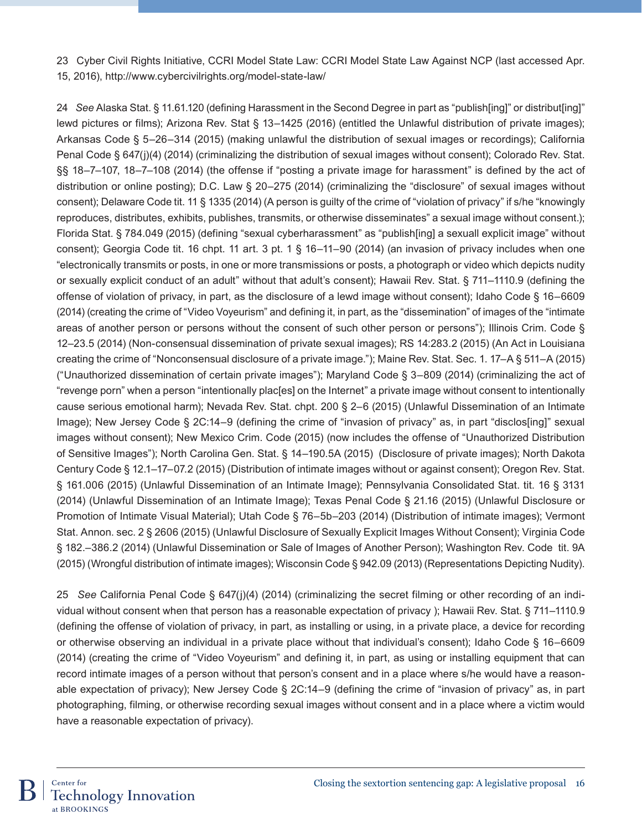23 Cyber Civil Rights Initiative, CCRI Model State Law: CCRI Model State Law Against NCP (last accessed Apr. 15, 2016), http://www.cybercivilrights.org/model-state-law/

24 *See* Alaska Stat. § 11.61.120 (defining Harassment in the Second Degree in part as "publish[ing]" or distribut[ing]" lewd pictures or films); Arizona Rev. Stat § 13–1425 (2016) (entitled the Unlawful distribution of private images); Arkansas Code § 5–26–314 (2015) (making unlawful the distribution of sexual images or recordings); California Penal Code § 647(j)(4) (2014) (criminalizing the distribution of sexual images without consent); Colorado Rev. Stat. §§ 18–7–107, 18–7–108 (2014) (the offense if "posting a private image for harassment" is defined by the act of distribution or online posting); D.C. Law § 20–275 (2014) (criminalizing the "disclosure" of sexual images without consent); Delaware Code tit. 11 § 1335 (2014) (A person is guilty of the crime of "violation of privacy" if s/he "knowingly reproduces, distributes, exhibits, publishes, transmits, or otherwise disseminates" a sexual image without consent.); Florida Stat. § 784.049 (2015) (defining "sexual cyberharassment" as "publish[ing] a sexuall explicit image" without consent); Georgia Code tit. 16 chpt. 11 art. 3 pt. 1 § 16–11–90 (2014) (an invasion of privacy includes when one "electronically transmits or posts, in one or more transmissions or posts, a photograph or video which depicts nudity or sexually explicit conduct of an adult" without that adult's consent); Hawaii Rev. Stat. § 711–1110.9 (defining the offense of violation of privacy, in part, as the disclosure of a lewd image without consent); Idaho Code § 16–6609 (2014) (creating the crime of "Video Voyeurism" and defining it, in part, as the "dissemination" of images of the "intimate areas of another person or persons without the consent of such other person or persons"); Illinois Crim. Code § 12–23.5 (2014) (Non-consensual dissemination of private sexual images); RS 14:283.2 (2015) (An Act in Louisiana creating the crime of "Nonconsensual disclosure of a private image."); Maine Rev. Stat. Sec. 1. 17–A § 511–A (2015) ("Unauthorized dissemination of certain private images"); Maryland Code § 3–809 (2014) (criminalizing the act of "revenge porn" when a person "intentionally plac[es] on the Internet" a private image without consent to intentionally cause serious emotional harm); Nevada Rev. Stat. chpt. 200 § 2–6 (2015) (Unlawful Dissemination of an Intimate Image); New Jersey Code § 2C:14–9 (defining the crime of "invasion of privacy" as, in part "disclos[ing]" sexual images without consent); New Mexico Crim. Code (2015) (now includes the offense of "Unauthorized Distribution of Sensitive Images"); North Carolina Gen. Stat. § 14–190.5A (2015) (Disclosure of private images); North Dakota Century Code § 12.1–17–07.2 (2015) (Distribution of intimate images without or against consent); Oregon Rev. Stat. § 161.006 (2015) (Unlawful Dissemination of an Intimate Image); Pennsylvania Consolidated Stat. tit. 16 § 3131 (2014) (Unlawful Dissemination of an Intimate Image); Texas Penal Code § 21.16 (2015) (Unlawful Disclosure or Promotion of Intimate Visual Material); Utah Code § 76–5b–203 (2014) (Distribution of intimate images); Vermont Stat. Annon. sec. 2 § 2606 (2015) (Unlawful Disclosure of Sexually Explicit Images Without Consent); Virginia Code § 182.–386.2 (2014) (Unlawful Dissemination or Sale of Images of Another Person); Washington Rev. Code tit. 9A (2015) (Wrongful distribution of intimate images); Wisconsin Code § 942.09 (2013) (Representations Depicting Nudity).

25 *See* California Penal Code § 647(j)(4) (2014) (criminalizing the secret filming or other recording of an individual without consent when that person has a reasonable expectation of privacy ); Hawaii Rev. Stat. § 711–1110.9 (defining the offense of violation of privacy, in part, as installing or using, in a private place, a device for recording or otherwise observing an individual in a private place without that individual's consent); Idaho Code § 16–6609 (2014) (creating the crime of "Video Voyeurism" and defining it, in part, as using or installing equipment that can record intimate images of a person without that person's consent and in a place where s/he would have a reasonable expectation of privacy); New Jersey Code § 2C:14–9 (defining the crime of "invasion of privacy" as, in part photographing, filming, or otherwise recording sexual images without consent and in a place where a victim would have a reasonable expectation of privacy).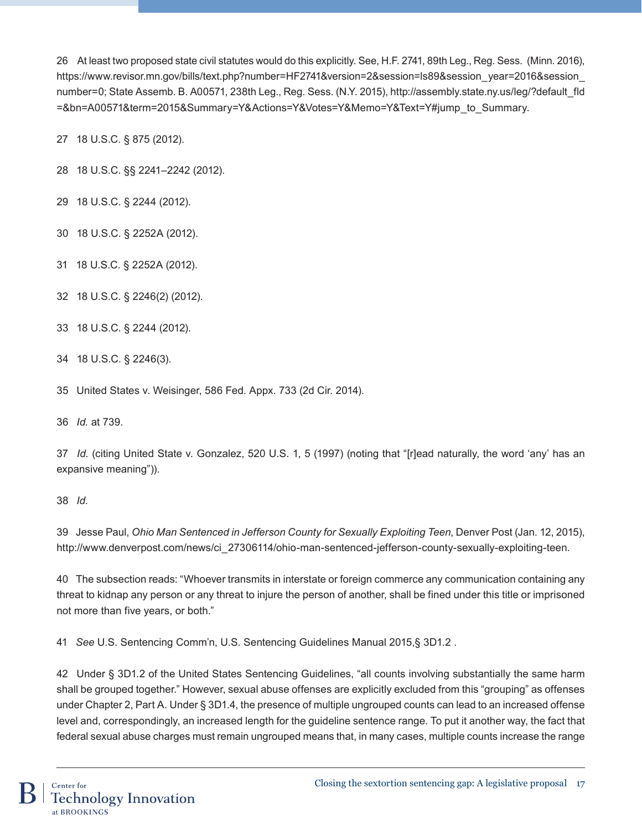26 At least two proposed state civil statutes would do this explicitly. See, H.F. 2741, 89th Leg., Reg. Sess. (Minn. 2016), https://www.revisor.mn.gov/bills/text.php?number=HF2741&version=2&session=ls89&session\_year=2016&session number=0; State Assemb. B. A00571, 238th Leg., Reg. Sess. (N.Y. 2015), http://assembly.state.ny.us/leg/?default\_fld =&bn=A00571&term=2015&Summary=Y&Actions=Y&Votes=Y&Memo=Y&Text=Y#jump\_to\_Summary.

27 18 U.S.C. § 875 (2012).

28 18 U.S.C. §§ 2241–2242 (2012).

29 18 U.S.C. § 2244 (2012).

30 18 U.S.C. § 2252A (2012).

31 18 U.S.C. § 2252A (2012).

32 18 U.S.C. § 2246(2) (2012).

33 18 U.S.C. § 2244 (2012).

34 18 U.S.C. § 2246(3).

35 United States v. Weisinger, 586 Fed. Appx. 733 (2d Cir. 2014).

36 *Id.* at 739.

37 *Id.* (citing United State v. Gonzalez, 520 U.S. 1, 5 (1997) (noting that "[r]ead naturally, the word 'any' has an expansive meaning")).

38 *Id.*

39 Jesse Paul, *Ohio Man Sentenced in Jefferson County for Sexually Exploiting Teen*, Denver Post (Jan. 12, 2015), http://www.denverpost.com/news/ci\_27306114/ohio-man-sentenced-jefferson-county-sexually-exploiting-teen.

40 The subsection reads: "Whoever transmits in interstate or foreign commerce any communication containing any threat to kidnap any person or any threat to injure the person of another, shall be fined under this title or imprisoned not more than five years, or both."

41 *See* U.S. Sentencing Comm'n, U.S. Sentencing Guidelines Manual 2015,§ 3D1.2 .

42 Under § 3D1.2 of the United States Sentencing Guidelines, "all counts involving substantially the same harm shall be grouped together." However, sexual abuse offenses are explicitly excluded from this "grouping" as offenses under Chapter 2, Part A. Under § 3D1.4, the presence of multiple ungrouped counts can lead to an increased offense level and, correspondingly, an increased length for the guideline sentence range. To put it another way, the fact that federal sexual abuse charges must remain ungrouped means that, in many cases, multiple counts increase the range